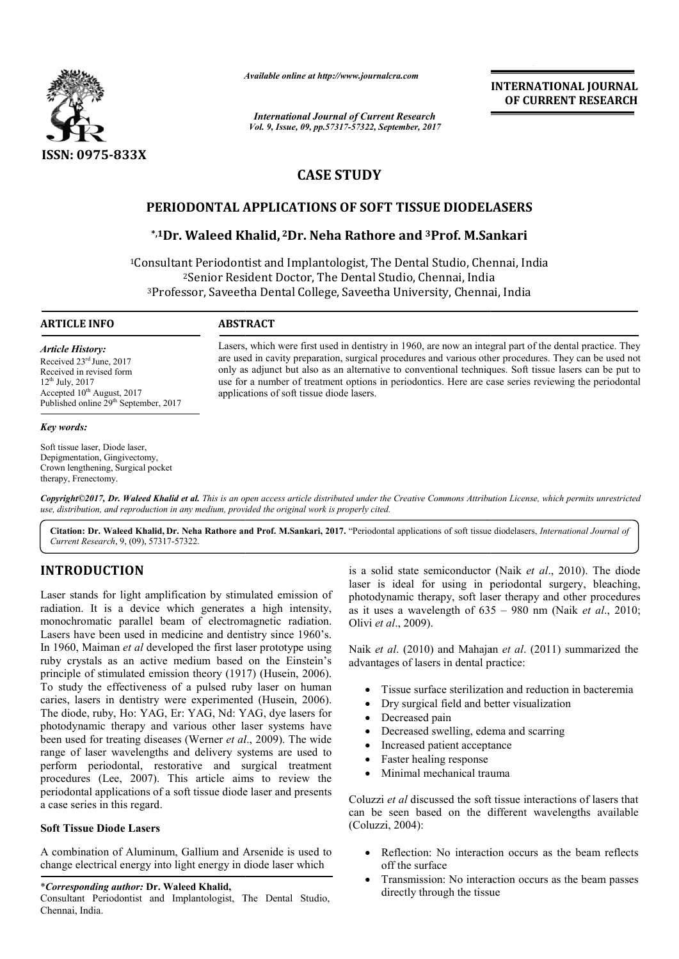

*Available online at http://www.journal http://www.journalcra.com*

*International Journal of Current Research Vol. 9, Issue, 09, pp.57317-57322, September, 2017* **INTERNATIONAL JOURNAL OF CURRENT RESEARCH** 

# **CASE STUDY**

## **PERIODONTAL APPLICATIONS OF SOFT TISSUE DIODELASERS**

## **\*,1Dr. Waleed Khalid, Dr. 2Dr. Neha Rathore and 3Prof. M.Sankari Prof.**

<sup>1</sup>Consultant Periodontist and Implantologist, The Dental Studio, Chennai, India <sup>2</sup>Senior Resident Doctor, The Dental Studio, Chennai, India <sup>2</sup>Senior Resident Doctor, The Dental Studio, Chennai, India<br><sup>3</sup>Professor, Saveetha Dental College, Saveetha University, Chennai, India

## **ARTICLE INFO ABSTRACT**

*Article History:* Received 23rd June, 2017 Received in revised form 12th July, 2017 Accepted 10<sup>th</sup> August, 2017 Published online 29<sup>th</sup> September, 2017

#### *Key words:*

Soft tissue laser, Diode laser, Depigmentation, Gingivectomy, Crown lengthening, Surgical pocket therapy, Frenectomy.

Lasers, which were first used in dentistry in 1960, are now an integral part of the dental practice. They are used in cavity preparation, surgical procedures and various other procedures. They can be used not only as adjunct but also as an alternative to conventional techniques. Soft tissue lasers can be put to Lasers, which were first used in dentistry in 1960, are now an integral part of the dental practice. They are used in cavity preparation, surgical procedures and various other procedures. They can be used not only as adjun applications of soft tissue diode lasers.

*Copyright©2017, Dr. Waleed Khalid et al. This is an open access article distributed under the Creative Commons Attribution License, which ribution which permits unrestricted use, distribution, and reproduction in any medium, provided the original work is properly cited.*

Citation: Dr. Waleed Khalid, Dr. Neha Rathore and Prof. M.Sankari, 2017. "Periodontal applications of soft tissue diodelasers, *International Journal of Current Research*, 9, (09), 57317-57322.

## **INTRODUCTION**

Laser stands for light amplification by stimulated emission of radiation. It is a device which generates a high intensity, monochromatic parallel beam of electromagnetic radiation. Lasers have been used in medicine and dentistry since 1960's. In 1960, Maiman *et al* developed the first laser prototype using ruby crystals as an active medium based on the Einstein's principle of stimulated emission theory (1917) ( (Husein, 2006). To study the effectiveness of a pulsed ruby laser on human caries, lasers in dentistry were experimented ( (Husein, 2006). The diode, ruby, Ho: YAG, Er: YAG, Nd: YAG, dye lasers for photodynamic therapy and various other laser systems have been used for treating diseases (Werner *et al* ., 2009). The wide range of laser wavelengths and delivery systems are used to perform periodontal, restorative and surgical treatment procedures (Lee, 2007). This article aims to review the periodontal applications of a soft tissue diode laser and presents a case series in this regard. mplification by stimulated emission of laser is ideal for using in percevant of laser is ideal for using in percevant of electromagnetic radiation. Olivi *et al.*, 2009).<br>
In medicine and dentistry since 1960's.<br>
eveloped

## **Soft Tissue Diode Lasers**

A combination of Aluminum, Gallium and Arsenide is used to change electrical energy into light energy in diode laser which

#### \**Corresponding author:* **Dr. Waleed Khalid,**

Consultant Periodontist and Implantologist, The Dental Studio, Chennai, India.

laser is ideal for using in periodontal surgery, bleaching, photodynamic therapy, soft laser therapy and other procedures as it uses a wavelength of  $635 - 980$  nm (Naik *et al.*, 2010; Olivi *et al*., 2009). is a solid state semiconductor (Naik *et al.*, 2010). The diode er is ideal for using in periodontal surgery, bleaching, btodynamic therapy, soft laser therapy and other procedures it uses a wavelength of 635 – 980 nm (Naik *et al.*, 2010; INTERNATIONAL JOURNAL<br> **CONFIGURE CONFIGURE CONFIGURATE CONFIGURE CONFIGURE CONFIGURE CONFIGURE CONFIGURE CONFIGURE THE TISSUE DIODELASERS<br>
TT TISSUE DIODELASERS<br>
TT TISSUE DIODELASERS<br>
TT TISSUE DIODELASERS<br>
TT TISSUE DI** 

Naik et al. (2010) and Mahajan et al. (2011) summarized the advantages of lasers in dental practice:

- Tissue surface sterilization and reduction in bacteremia
- Dry surgical field and better visualization
- Decreased pain
- Dry surgical field and better visualizatio<br>• Decreased pain<br>• Decreased swelling, edema and scarring
- Increased patient acceptance
- Faster healing response
- Minimal mechanical trauma

Coluzzi *et al* discussed the soft tissue interactions of lasers that can be seen based on the different wavelengths available (Coluzzi, 2004):

- Reflection: No interaction occurs as the beam reflects off the surface
- Transmission: No interaction occurs as the beam passes directly through the tissue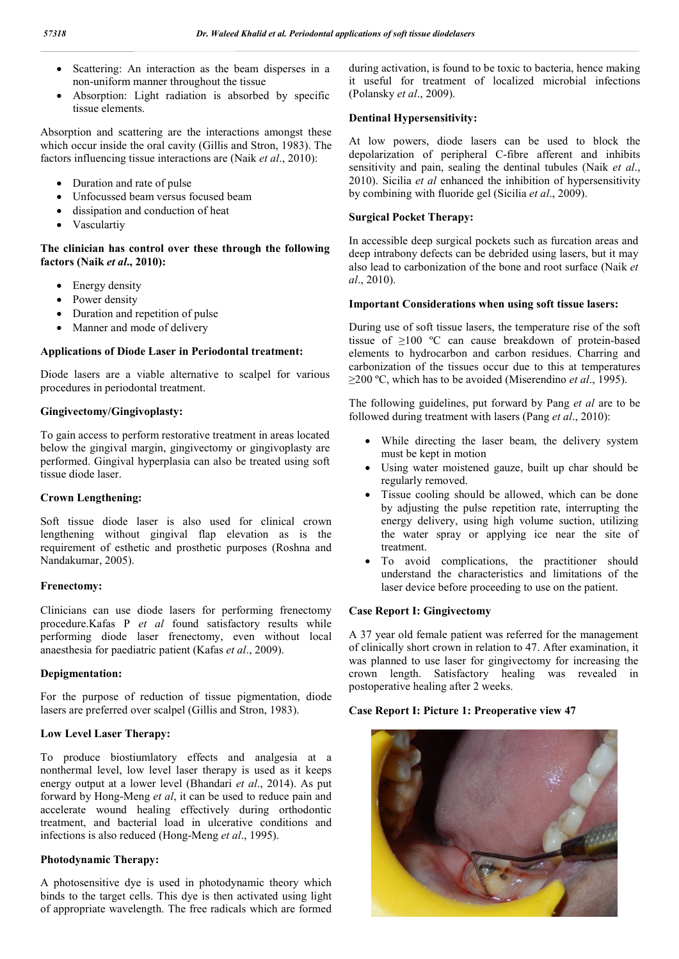- Scattering: An interaction as the beam disperses in a non-uniform manner throughout the tissue
- Absorption: Light radiation is absorbed by specific tissue elements.

Absorption and scattering are the interactions amongst these which occur inside the oral cavity (Gillis and Stron, 1983). The factors influencing tissue interactions are (Naik *et al*., 2010):

- Duration and rate of pulse
- Unfocussed beam versus focused beam
- dissipation and conduction of heat
- Vasculartiv

## **The clinician has control over these through the following factors (Naik** *et al***., 2010):**

- Energy density
- Power density
- Duration and repetition of pulse
- Manner and mode of delivery

### **Applications of Diode Laser in Periodontal treatment:**

Diode lasers are a viable alternative to scalpel for various procedures in periodontal treatment.

### **Gingivectomy/Gingivoplasty:**

To gain access to perform restorative treatment in areas located below the gingival margin, gingivectomy or gingivoplasty are performed. Gingival hyperplasia can also be treated using soft tissue diode laser.

#### **Crown Lengthening:**

Soft tissue diode laser is also used for clinical crown lengthening without gingival flap elevation as is the requirement of esthetic and prosthetic purposes (Roshna and Nandakumar, 2005).

#### **Frenectomy:**

Clinicians can use diode lasers for performing frenectomy procedure.Kafas P *et al* found satisfactory results while performing diode laser frenectomy, even without local anaesthesia for paediatric patient (Kafas *et al*., 2009).

#### **Depigmentation:**

For the purpose of reduction of tissue pigmentation, diode lasers are preferred over scalpel (Gillis and Stron, 1983).

#### **Low Level Laser Therapy:**

To produce biostiumlatory effects and analgesia at a nonthermal level, low level laser therapy is used as it keeps energy output at a lower level (Bhandari *et al*., 2014). As put forward by Hong-Meng *et al*, it can be used to reduce pain and accelerate wound healing effectively during orthodontic treatment, and bacterial load in ulcerative conditions and infections is also reduced (Hong-Meng *et al*., 1995).

## **Photodynamic Therapy:**

A photosensitive dye is used in photodynamic theory which binds to the target cells. This dye is then activated using light of appropriate wavelength. The free radicals which are formed during activation, is found to be toxic to bacteria, hence making it useful for treatment of localized microbial infections (Polansky *et al*., 2009).

### **Dentinal Hypersensitivity:**

At low powers, diode lasers can be used to block the depolarization of peripheral C-fibre afferent and inhibits sensitivity and pain, sealing the dentinal tubules (Naik *et al*., 2010). Sicilia *et al* enhanced the inhibition of hypersensitivity by combining with fluoride gel (Sicilia *et al*., 2009).

## **Surgical Pocket Therapy:**

In accessible deep surgical pockets such as furcation areas and deep intrabony defects can be debrided using lasers, but it may also lead to carbonization of the bone and root surface (Naik *et al*., 2010).

#### **Important Considerations when using soft tissue lasers:**

During use of soft tissue lasers, the temperature rise of the soft tissue of ≥100 ºC can cause breakdown of protein-based elements to hydrocarbon and carbon residues. Charring and carbonization of the tissues occur due to this at temperatures ≥200 ºC, which has to be avoided (Miserendino *et al*., 1995).

The following guidelines, put forward by Pang *et al* are to be followed during treatment with lasers (Pang *et al*., 2010):

- While directing the laser beam, the delivery system must be kept in motion
- Using water moistened gauze, built up char should be regularly removed.
- Tissue cooling should be allowed, which can be done by adjusting the pulse repetition rate, interrupting the energy delivery, using high volume suction, utilizing the water spray or applying ice near the site of treatment.
- To avoid complications, the practitioner should understand the characteristics and limitations of the laser device before proceeding to use on the patient.

#### **Case Report I: Gingivectomy**

A 37 year old female patient was referred for the management of clinically short crown in relation to 47. After examination, it was planned to use laser for gingivectomy for increasing the crown length. Satisfactory healing was revealed in postoperative healing after 2 weeks.

#### **Case Report I: Picture 1: Preoperative view 47**

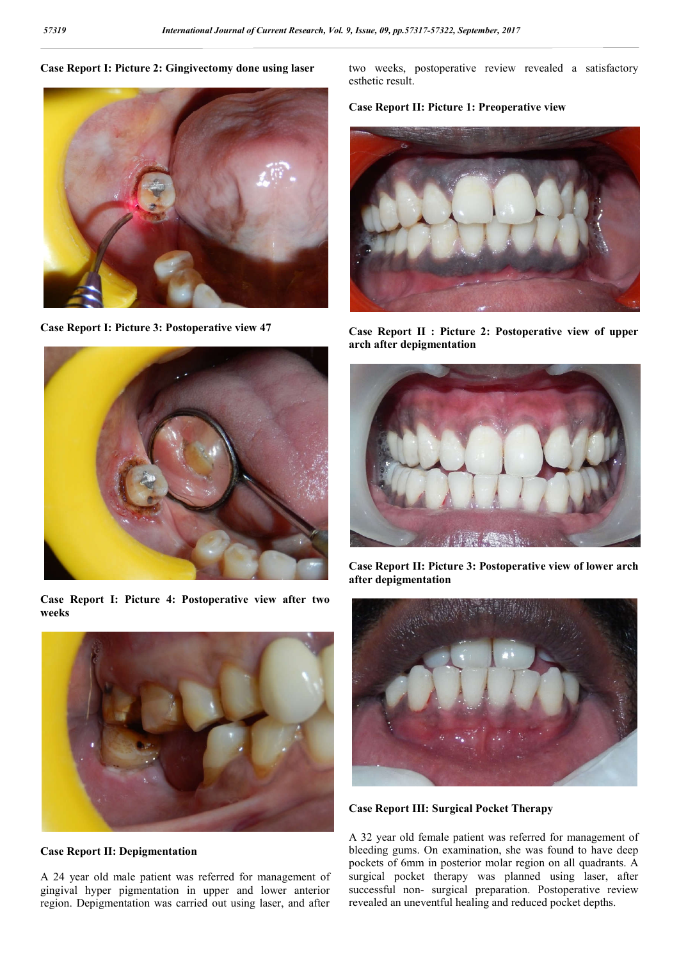### **Case Report I: Picture 2: Gingivectomy done using laser**



**Case Report I: Picture 3: Postoperative view 47**



**Case Report I: Picture 4: Postoperative view after two weeks** 



**Case Report II: Depigmentation**

A 24 year old male patient was referred for management of gingival hyper pigmentation in upper and lower anterior region. Depigmentation was carried out using laser, and after

two weeks, postoperative review revealed a satisfactory esthetic result.

## **Case Report II: Picture 1: Preoperative view**



**Case Report II : Picture 2: Postoperative view of upper arch after depigmentation** 



**Case Report II: Picture 3: Postoperative view of lower arch after depigmentation** 



**Case Report III: Surgical Pocket Therapy**

A 32 year old female patient was referred for management of bleeding gums. On examination, she was found to have deep pockets of 6mm in posterior molar region on all quadrants. A surgical pocket therapy was planned using laser, after successful non- surgical preparation. Postoperative review revealed an uneventful healing and reduced pocket depths.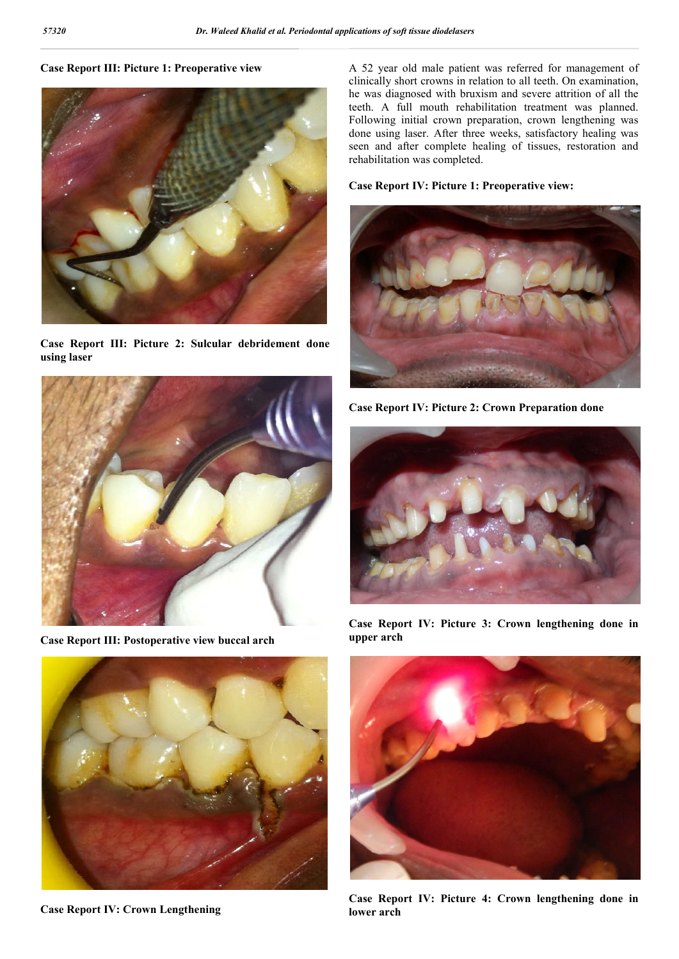### **Case Report III: Picture 1: Preoperative view**



**Case Report III: Picture 2: Sulcular debridement done using laser** 



**Case Report III: Postoperative view buccal arch** 



**Case Report IV: Crown Lengthening**

A 52 year old male patient was referred for management of clinically short crowns in relation to all teeth. On examination, he was diagnosed with bruxism and severe attrition of all the teeth. A full mouth rehabilitation treatment was planned. Following initial crown preparation, crown lengthening was done using laser. After three weeks, satisfactory healing was seen and after complete healing of tissues, restoration and rehabilitation was completed.

### **Case Report IV: Picture 1: Preoperative view:**



**Case Report IV: Picture 2: Crown Preparation done** 



**Case Report IV: Picture 3: Crown lengthening done in upper arch** 



**Case Report IV: Picture 4: Crown lengthening done in lower arch**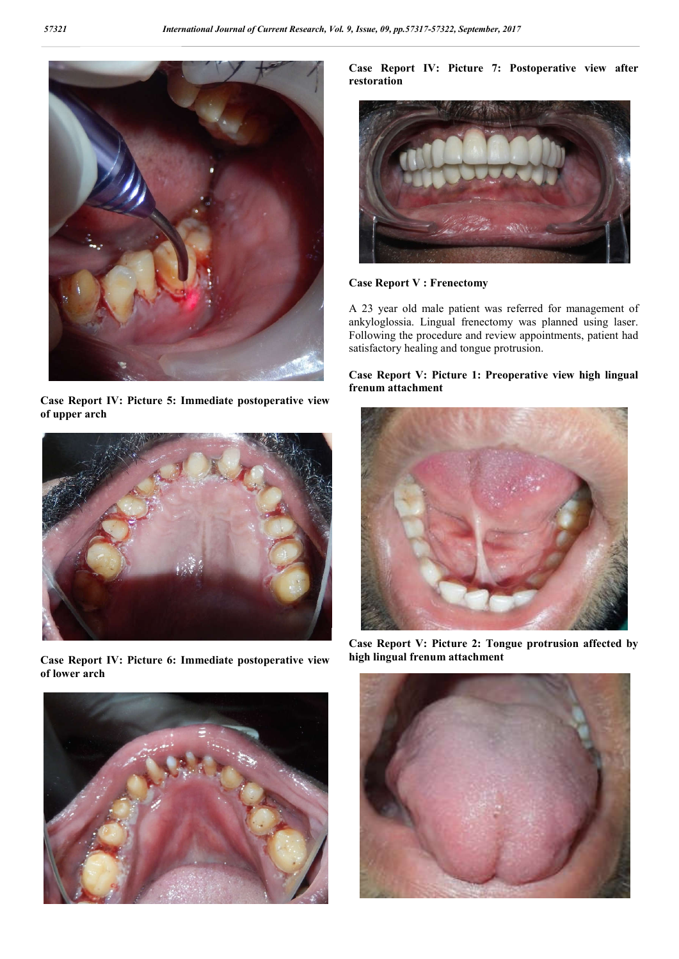

**Case Report IV: Picture 5: Immediate postoperative view of upper arch** 



**Case Report IV: Picture 6: Immediate postoperative view of lower arch** 



**Case Report IV: Picture 7: Postoperative view after restoration** 



**Case Report V : Frenectomy**

A 23 year old male patient was referred for management of ankyloglossia. Lingual frenectomy was planned using laser. Following the procedure and review appointments, patient had satisfactory healing and tongue protrusion.

## **Case Report V: Picture 1: Preoperative view high lingual frenum attachment**



**Case Report V: Picture 2: Tongue protrusion affected by high lingual frenum attachment**